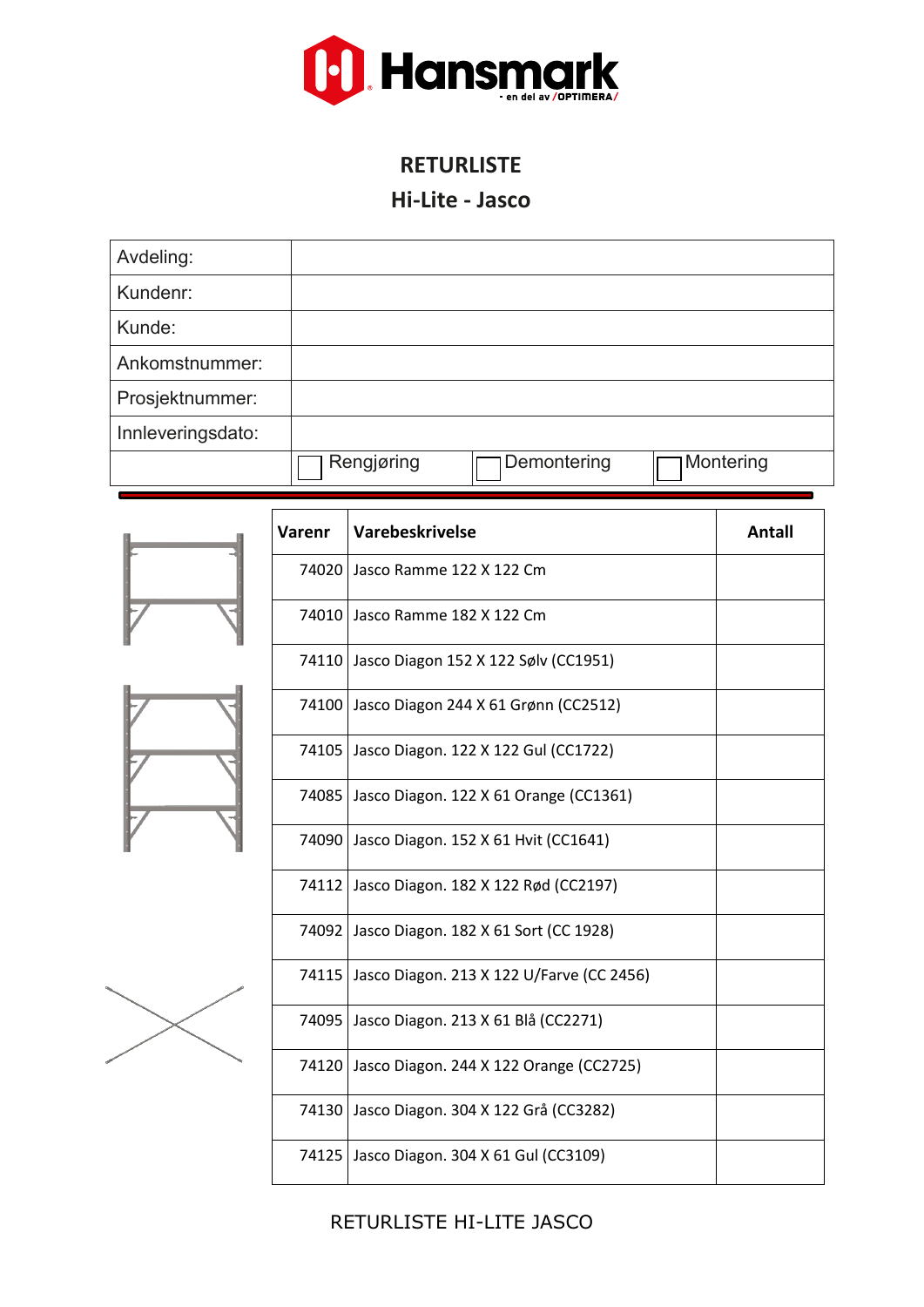

### **RETURLISTE**

#### **Hi-Lite - Jasco**

| Avdeling:         |            |             |           |
|-------------------|------------|-------------|-----------|
| Kundenr:          |            |             |           |
| Kunde:            |            |             |           |
| Ankomstnummer:    |            |             |           |
| Prosjektnummer:   |            |             |           |
| Innleveringsdato: |            |             |           |
|                   | Rengjøring | Demontering | Montering |





RETURLISTE HI-LITE JASCO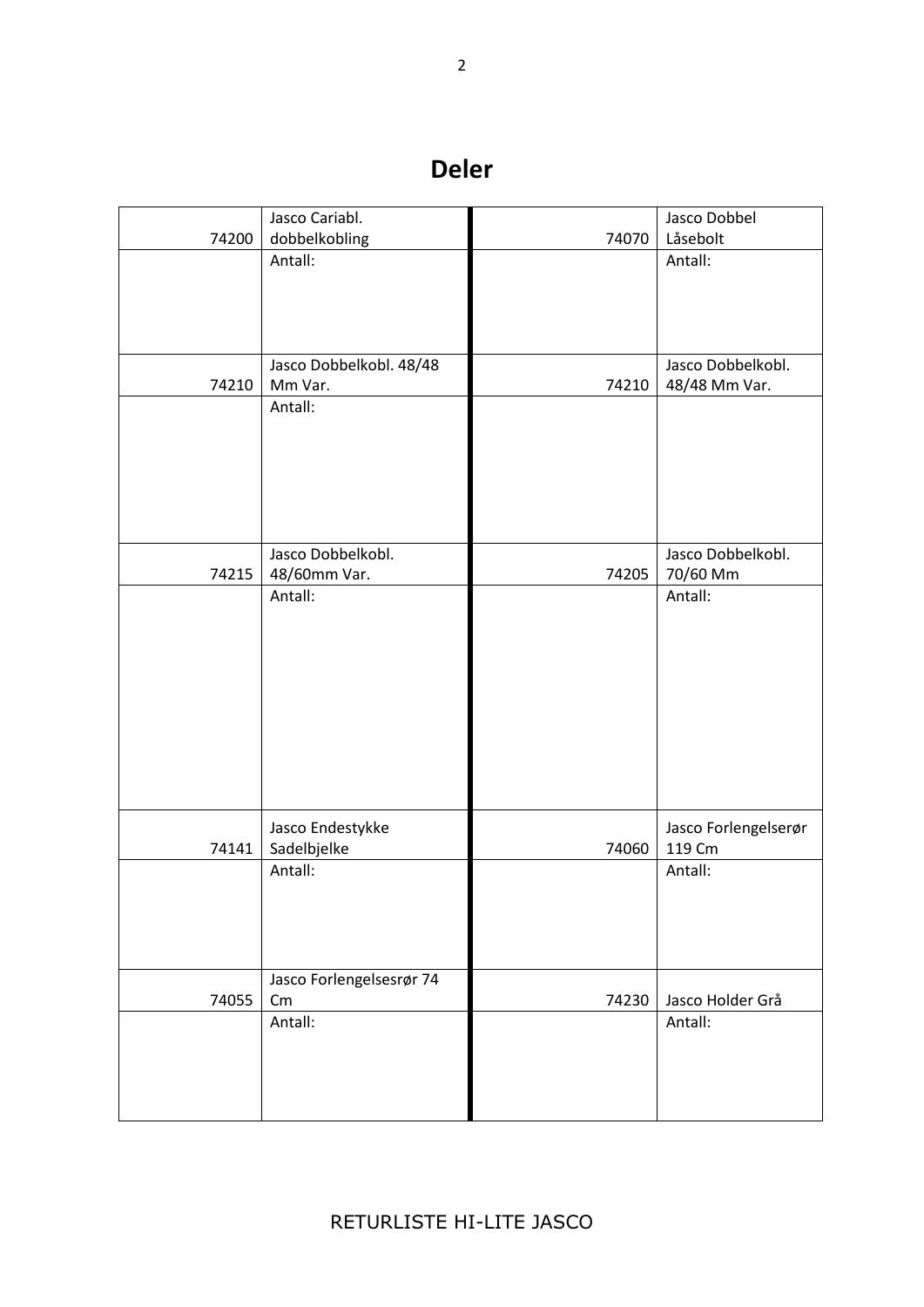# **Deler**

|       | Jasco Cariabl.           |       | Jasco Dobbel         |
|-------|--------------------------|-------|----------------------|
| 74200 | dobbelkobling            | 74070 | Låsebolt             |
|       | Antall:                  |       | Antall:              |
|       |                          |       |                      |
|       |                          |       |                      |
|       |                          |       |                      |
|       |                          |       |                      |
|       | Jasco Dobbelkobl. 48/48  |       | Jasco Dobbelkobl.    |
| 74210 | Mm Var.                  | 74210 | 48/48 Mm Var.        |
|       | Antall:                  |       |                      |
|       |                          |       |                      |
|       |                          |       |                      |
|       |                          |       |                      |
|       |                          |       |                      |
|       |                          |       |                      |
|       | Jasco Dobbelkobl.        |       | Jasco Dobbelkobl.    |
| 74215 | 48/60mm Var.             | 74205 | 70/60 Mm             |
|       | Antall:                  |       | Antall:              |
|       |                          |       |                      |
|       |                          |       |                      |
|       |                          |       |                      |
|       |                          |       |                      |
|       |                          |       |                      |
|       |                          |       |                      |
|       |                          |       |                      |
|       |                          |       |                      |
|       |                          |       |                      |
|       |                          |       |                      |
|       | Jasco Endestykke         |       | Jasco Forlengelserør |
| 74141 | Sadelbjelke              | 74060 | 119 Cm               |
|       | Antall:                  |       | Antall:              |
|       |                          |       |                      |
|       |                          |       |                      |
|       |                          |       |                      |
|       |                          |       |                      |
|       | Jasco Forlengelsesrør 74 |       |                      |
| 74055 | Cm                       | 74230 | Jasco Holder Grå     |
|       | Antall:                  |       | Antall:              |
|       |                          |       |                      |
|       |                          |       |                      |
|       |                          |       |                      |
|       |                          |       |                      |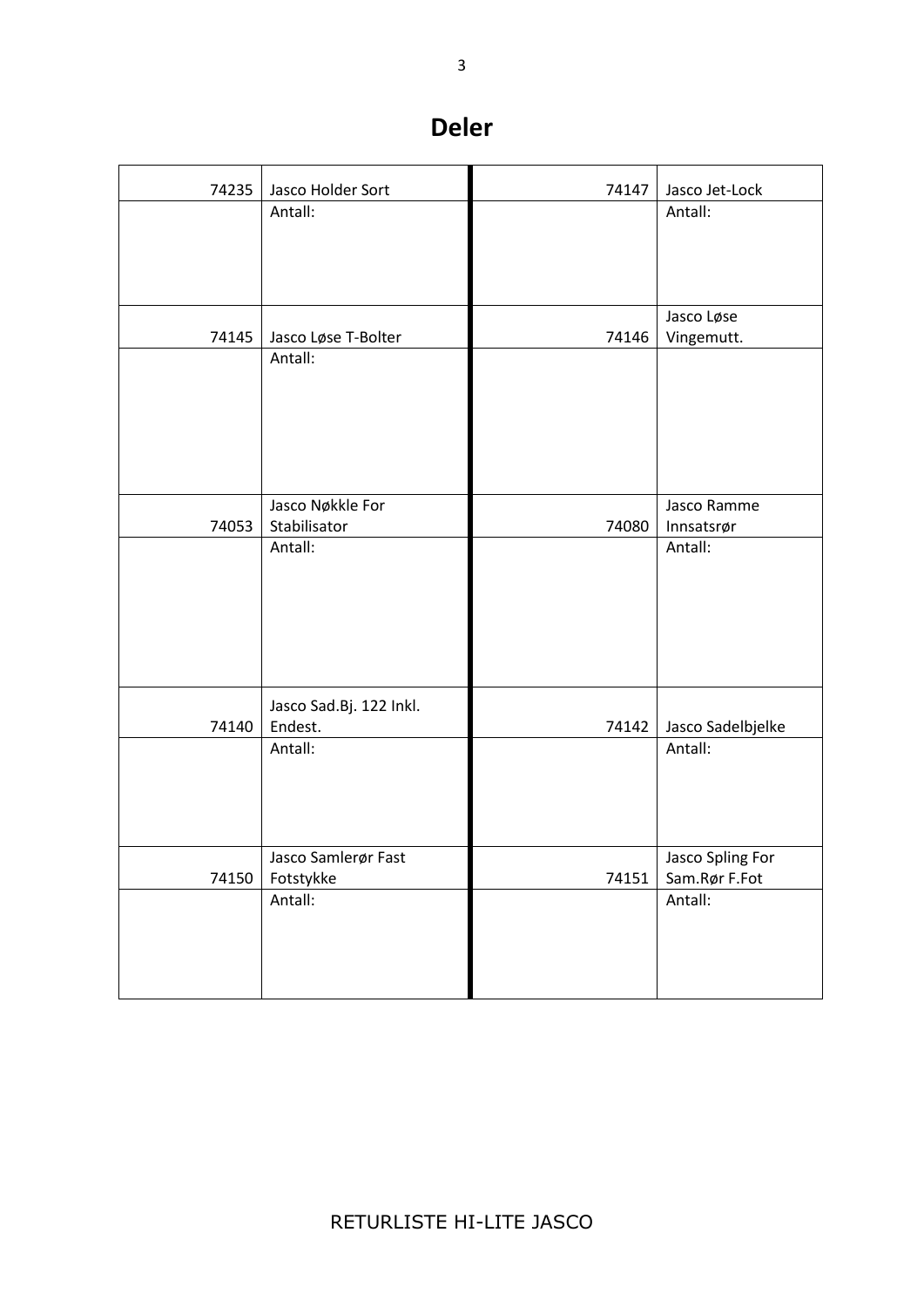## **Deler**

| 74235 | Jasco Holder Sort       | 74147 | Jasco Jet-Lock           |
|-------|-------------------------|-------|--------------------------|
|       | Antall:                 |       | Antall:                  |
|       |                         |       |                          |
|       |                         |       |                          |
|       |                         |       |                          |
| 74145 | Jasco Løse T-Bolter     | 74146 | Jasco Løse<br>Vingemutt. |
|       | Antall:                 |       |                          |
|       |                         |       |                          |
|       |                         |       |                          |
|       |                         |       |                          |
|       |                         |       |                          |
|       | Jasco Nøkkle For        |       | Jasco Ramme              |
| 74053 | Stabilisator<br>Antall: | 74080 | Innsatsrør<br>Antall:    |
|       |                         |       |                          |
|       |                         |       |                          |
|       |                         |       |                          |
|       |                         |       |                          |
|       |                         |       |                          |
|       | Jasco Sad.Bj. 122 Inkl. |       |                          |
| 74140 | Endest.                 | 74142 | Jasco Sadelbjelke        |
|       | Antall:                 |       | Antall:                  |
|       |                         |       |                          |
|       |                         |       |                          |
|       | Jasco Samlerør Fast     |       | Jasco Spling For         |
| 74150 | Fotstykke               | 74151 | Sam.Rør F.Fot            |
|       | Antall:                 |       | Antall:                  |
|       |                         |       |                          |
|       |                         |       |                          |
|       |                         |       |                          |